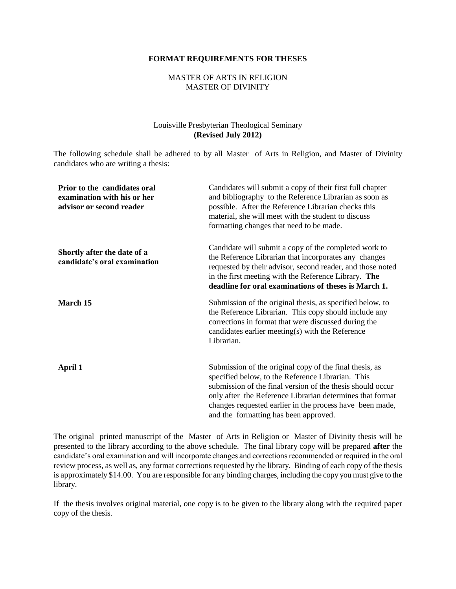#### **FORMAT REQUIREMENTS FOR THESES**

#### MASTER OF ARTS IN RELIGION MASTER OF DIVINITY

#### Louisville Presbyterian Theological Seminary **(Revised July 2012)**

The following schedule shall be adhered to by all Master of Arts in Religion, and Master of Divinity candidates who are writing a thesis:

| Prior to the candidates oral<br>examination with his or her<br>advisor or second reader | Candidates will submit a copy of their first full chapter<br>and bibliography to the Reference Librarian as soon as<br>possible. After the Reference Librarian checks this<br>material, she will meet with the student to discuss<br>formatting changes that need to be made.                                                                |
|-----------------------------------------------------------------------------------------|----------------------------------------------------------------------------------------------------------------------------------------------------------------------------------------------------------------------------------------------------------------------------------------------------------------------------------------------|
| Shortly after the date of a<br>candidate's oral examination                             | Candidate will submit a copy of the completed work to<br>the Reference Librarian that incorporates any changes<br>requested by their advisor, second reader, and those noted<br>in the first meeting with the Reference Library. The<br>deadline for oral examinations of theses is March 1.                                                 |
| March 15                                                                                | Submission of the original thesis, as specified below, to<br>the Reference Librarian. This copy should include any<br>corrections in format that were discussed during the<br>candidates earlier meeting $(s)$ with the Reference<br>Librarian.                                                                                              |
| April 1                                                                                 | Submission of the original copy of the final thesis, as<br>specified below, to the Reference Librarian. This<br>submission of the final version of the thesis should occur<br>only after the Reference Librarian determines that format<br>changes requested earlier in the process have been made,<br>and the formatting has been approved. |

The original printed manuscript of the Master of Arts in Religion or Master of Divinity thesis will be presented to the library according to the above schedule. The final library copy will be prepared **after** the candidate's oral examination and will incorporate changes and corrections recommended or required in the oral review process, as well as, any format corrections requested by the library. Binding of each copy of the thesis is approximately \$14.00. You are responsible for any binding charges, including the copy you must give to the library.

If the thesis involves original material, one copy is to be given to the library along with the required paper copy of the thesis.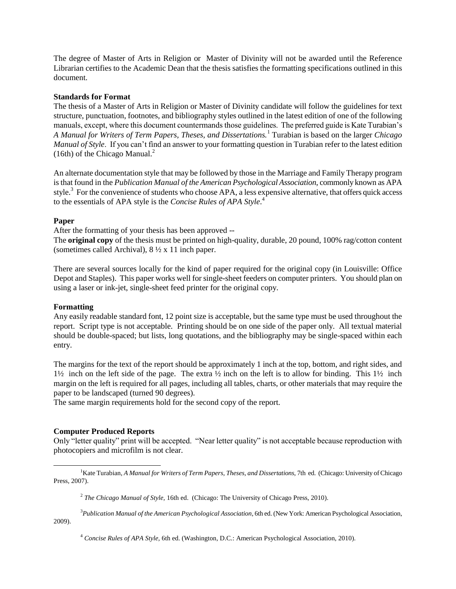The degree of Master of Arts in Religion or Master of Divinity will not be awarded until the Reference Librarian certifies to the Academic Dean that the thesis satisfies the formatting specifications outlined in this document.

#### **Standards for Format**

The thesis of a Master of Arts in Religion or Master of Divinity candidate will follow the guidelines for text structure, punctuation, footnotes, and bibliography styles outlined in the latest edition of one of the following manuals, except, where this document countermands those guidelines. The preferred guide is Kate Turabian's *A Manual for Writers of Term Papers, Theses, and Dissertations.*<sup>1</sup> Turabian is based on the larger *Chicago Manual of Style*. If you can't find an answer to your formatting question in Turabian refer to the latest edition (16th) of the Chicago Manual. $^{2}$ 

An alternate documentation style that may be followed by those in the Marriage and Family Therapy program is that found in the *Publication Manual of the American Psychological Association*, commonly known as APA style.<sup>3</sup> For the convenience of students who choose APA, a less expensive alternative, that offers quick access to the essentials of APA style is the *Concise Rules of APA Style*. 4

#### **Paper**

After the formatting of your thesis has been approved --

The **original copy** of the thesis must be printed on high-quality, durable, 20 pound, 100% rag/cotton content (sometimes called Archival), 8 ½ x 11 inch paper.

There are several sources locally for the kind of paper required for the original copy (in Louisville: Office Depot and Staples). This paper works well for single-sheet feeders on computer printers. You should plan on using a laser or ink-jet, single-sheet feed printer for the original copy.

#### **Formatting**

l

Any easily readable standard font, 12 point size is acceptable, but the same type must be used throughout the report. Script type is not acceptable. Printing should be on one side of the paper only. All textual material should be double-spaced; but lists, long quotations, and the bibliography may be single-spaced within each entry.

The margins for the text of the report should be approximately 1 inch at the top, bottom, and right sides, and  $1\frac{1}{2}$  inch on the left side of the page. The extra  $\frac{1}{2}$  inch on the left is to allow for binding. This  $1\frac{1}{2}$  inch margin on the left is required for all pages, including all tables, charts, or other materials that may require the paper to be landscaped (turned 90 degrees).

The same margin requirements hold for the second copy of the report.

#### **Computer Produced Reports**

Only "letter quality" print will be accepted. "Near letter quality" is not acceptable because reproduction with photocopiers and microfilm is not clear.

<sup>3</sup>*Publication Manual of the American Psychological Association*, 6th ed. (New York: American Psychological Association, 2009).

<sup>&</sup>lt;sup>1</sup>Kate Turabian, *A Manual for Writers of Term Papers, Theses, and Dissertations, 7th ed.* (Chicago: University of Chicago Press, 2007).

<sup>2</sup> *The Chicago Manual of Style,* 16th ed. (Chicago: The University of Chicago Press, 2010).

<sup>4</sup> *Concise Rules of APA Style,* 6th ed. (Washington, D.C.: American Psychological Association, 2010).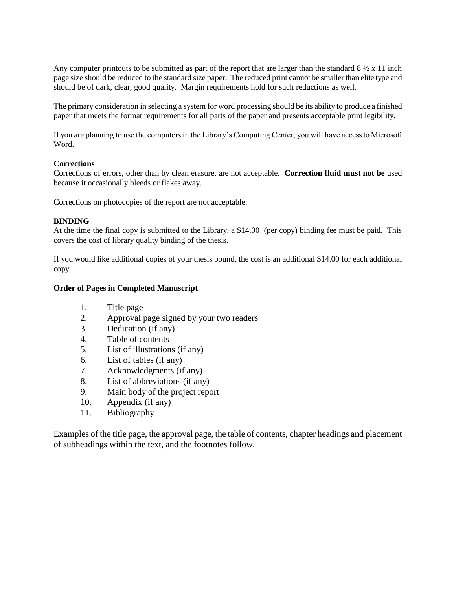Any computer printouts to be submitted as part of the report that are larger than the standard  $8\frac{1}{2} \times 11$  inch page size should be reduced to the standard size paper. The reduced print cannot be smaller than elite type and should be of dark, clear, good quality. Margin requirements hold for such reductions as well.

The primary consideration in selecting a system for word processing should be its ability to produce a finished paper that meets the format requirements for all parts of the paper and presents acceptable print legibility.

If you are planning to use the computers in the Library's Computing Center, you will have access to Microsoft Word.

#### **Corrections**

Corrections of errors, other than by clean erasure, are not acceptable. **Correction fluid must not be** used because it occasionally bleeds or flakes away.

Corrections on photocopies of the report are not acceptable.

## **BINDING**

At the time the final copy is submitted to the Library, a \$14.00 (per copy) binding fee must be paid. This covers the cost of library quality binding of the thesis.

If you would like additional copies of your thesis bound, the cost is an additional \$14.00 for each additional copy.

#### **Order of Pages in Completed Manuscript**

- 1. Title page
- 2. Approval page signed by your two readers
- 3. Dedication (if any)
- 4. Table of contents
- 5. List of illustrations (if any)
- 6. List of tables (if any)
- 7. Acknowledgments (if any)
- 8. List of abbreviations (if any)
- 9. Main body of the project report
- 10. Appendix (if any)
- 11. Bibliography

Examples of the title page, the approval page, the table of contents, chapter headings and placement of subheadings within the text, and the footnotes follow.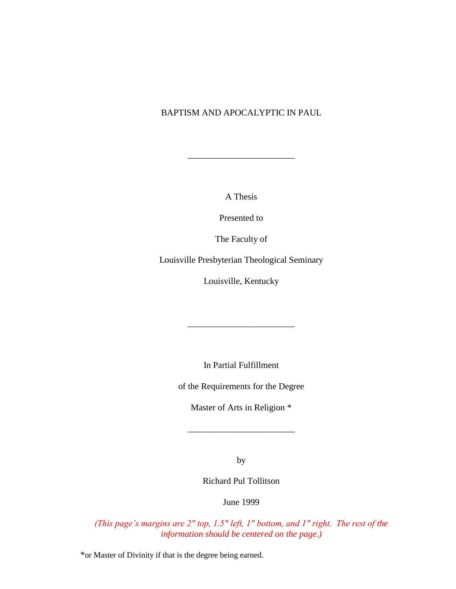# BAPTISM AND APOCALYPTIC IN PAUL

A Thesis

\_\_\_\_\_\_\_\_\_\_\_\_\_\_\_\_\_\_\_\_\_\_\_\_

Presented to

The Faculty of

Louisville Presbyterian Theological Seminary

Louisville, Kentucky

In Partial Fulfillment

\_\_\_\_\_\_\_\_\_\_\_\_\_\_\_\_\_\_\_\_\_\_\_\_

of the Requirements for the Degree

Master of Arts in Religion \*

\_\_\_\_\_\_\_\_\_\_\_\_\_\_\_\_\_\_\_\_\_\_\_\_

by

Richard Pul Tollitson

June 1999

*(This page's margins are 2" top, 1.5" left, 1" bottom, and 1" right. The rest of the information should be centered on the page.)*

\*or Master of Divinity if that is the degree being earned.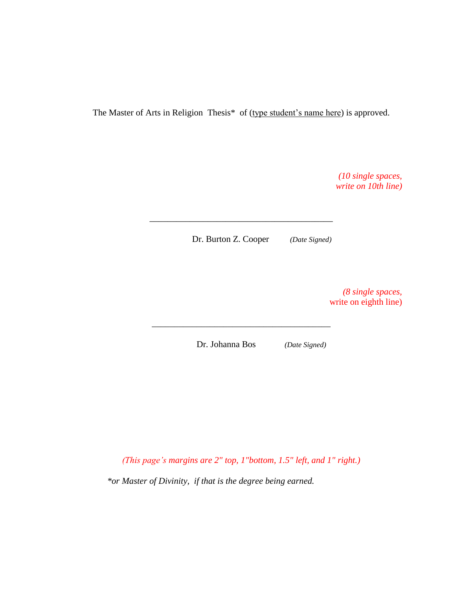The Master of Arts in Religion Thesis\* of (type student's name here) is approved.

*(10 single spaces, write on 10th line)*

Dr. Burton Z. Cooper *(Date Signed)*

\_\_\_\_\_\_\_\_\_\_\_\_\_\_\_\_\_\_\_\_\_\_\_\_\_\_\_\_\_\_\_\_\_\_\_\_\_\_\_\_\_

*(8 single spaces,* write on eighth line)

Dr. Johanna Bos *(Date Signed)*

\_\_\_\_\_\_\_\_\_\_\_\_\_\_\_\_\_\_\_\_\_\_\_\_\_\_\_\_\_\_\_\_\_\_\_\_\_\_\_\_

*(This page's margins are 2" top, 1"bottom, 1.5" left, and 1" right.)*

*\*or Master of Divinity, if that is the degree being earned.*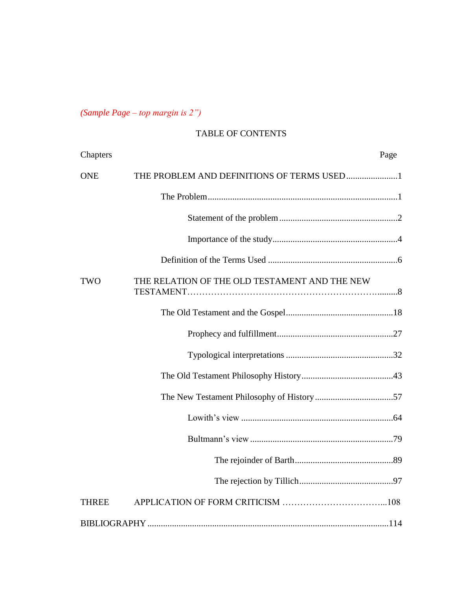*(Sample Page – top margin is 2")*

# TABLE OF CONTENTS

| Chapters     |                                               | Page |
|--------------|-----------------------------------------------|------|
| <b>ONE</b>   | THE PROBLEM AND DEFINITIONS OF TERMS USED1    |      |
|              |                                               |      |
|              |                                               |      |
|              |                                               |      |
|              |                                               |      |
| TWO          | THE RELATION OF THE OLD TESTAMENT AND THE NEW |      |
|              |                                               |      |
|              |                                               |      |
|              |                                               |      |
|              |                                               |      |
|              |                                               |      |
|              |                                               |      |
|              |                                               |      |
|              |                                               |      |
|              |                                               |      |
| <b>THREE</b> |                                               |      |
|              |                                               |      |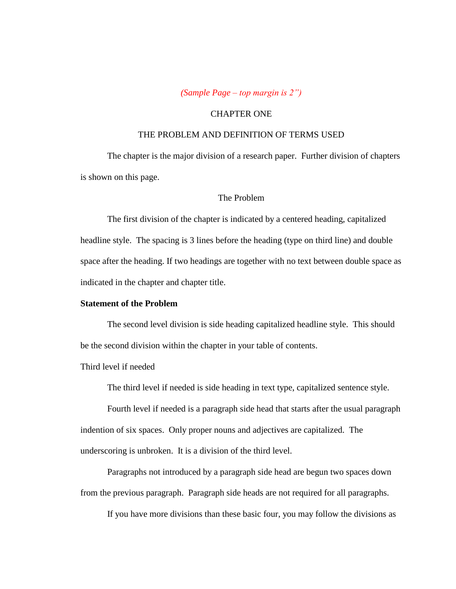*(Sample Page – top margin is 2")*

#### CHAPTER ONE

## THE PROBLEM AND DEFINITION OF TERMS USED

The chapter is the major division of a research paper. Further division of chapters is shown on this page.

## The Problem

The first division of the chapter is indicated by a centered heading, capitalized headline style. The spacing is 3 lines before the heading (type on third line) and double space after the heading. If two headings are together with no text between double space as indicated in the chapter and chapter title.

#### **Statement of the Problem**

The second level division is side heading capitalized headline style. This should be the second division within the chapter in your table of contents.

Third level if needed

The third level if needed is side heading in text type, capitalized sentence style.

Fourth level if needed is a paragraph side head that starts after the usual paragraph indention of six spaces. Only proper nouns and adjectives are capitalized. The underscoring is unbroken. It is a division of the third level.

Paragraphs not introduced by a paragraph side head are begun two spaces down from the previous paragraph. Paragraph side heads are not required for all paragraphs.

If you have more divisions than these basic four, you may follow the divisions as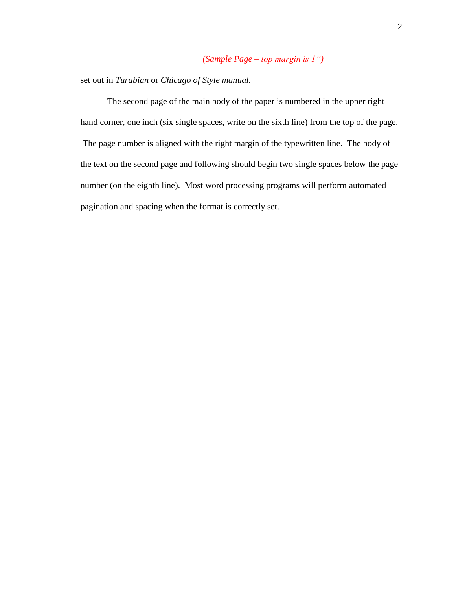# *(Sample Page – top margin is 1")*

set out in *Turabian* or *Chicago of Style manual.*

The second page of the main body of the paper is numbered in the upper right hand corner, one inch (six single spaces, write on the sixth line) from the top of the page. The page number is aligned with the right margin of the typewritten line. The body of the text on the second page and following should begin two single spaces below the page number (on the eighth line). Most word processing programs will perform automated pagination and spacing when the format is correctly set.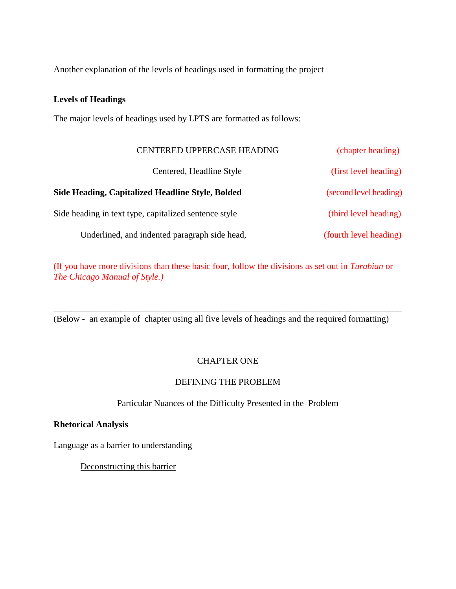Another explanation of the levels of headings used in formatting the project

# **Levels of Headings**

The major levels of headings used by LPTS are formatted as follows:

| CENTERED UPPERCASE HEADING                            | (chapter heading)      |
|-------------------------------------------------------|------------------------|
| Centered, Headline Style                              | (first level heading)  |
| Side Heading, Capitalized Headline Style, Bolded      | (second level heading) |
| Side heading in text type, capitalized sentence style | (third level heading)  |
| Underlined, and indented paragraph side head,         | (fourth level heading) |

(If you have more divisions than these basic four, follow the divisions as set out in *Turabian* or *The Chicago Manual of Style.)*

(Below - an example of chapter using all five levels of headings and the required formatting)

\_\_\_\_\_\_\_\_\_\_\_\_\_\_\_\_\_\_\_\_\_\_\_\_\_\_\_\_\_\_\_\_\_\_\_\_\_\_\_\_\_\_\_\_\_\_\_\_\_\_\_\_\_\_\_\_\_\_\_\_\_\_\_\_\_\_\_\_\_\_\_\_\_\_\_\_\_\_

# CHAPTER ONE

# DEFINING THE PROBLEM

Particular Nuances of the Difficulty Presented in the Problem

## **Rhetorical Analysis**

Language as a barrier to understanding

Deconstructing this barrier